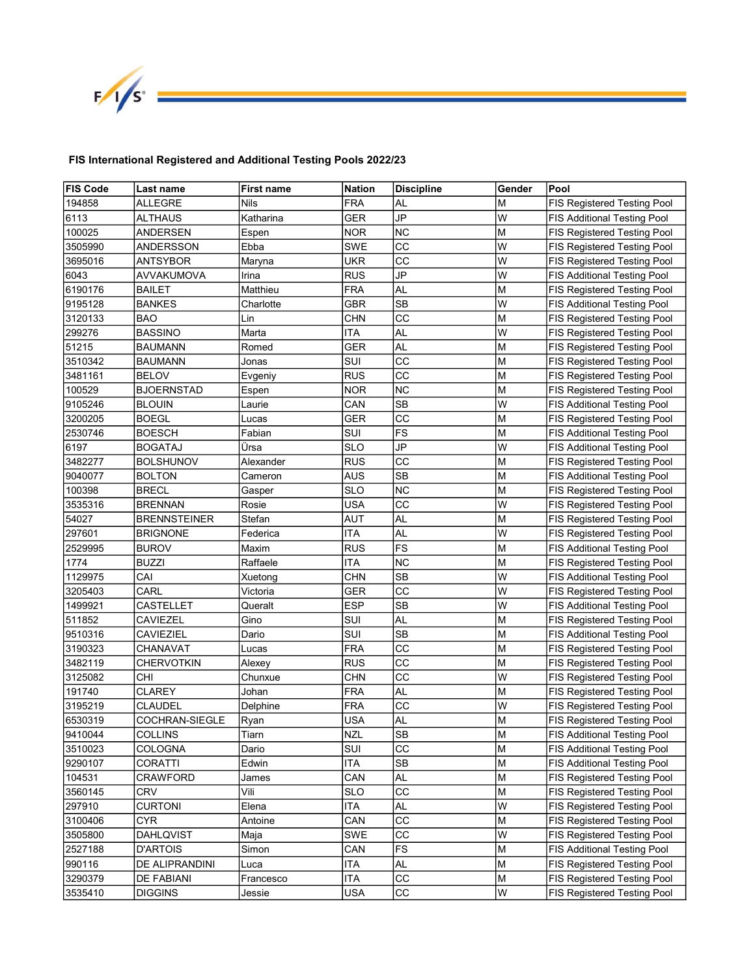

## FIS International Registered and Additional Testing Pools 2022/23

| <b>FIS Code</b> | Last name         | <b>First name</b> | Nation     | <b>Discipline</b>      | Gender | Pool                               |
|-----------------|-------------------|-------------------|------------|------------------------|--------|------------------------------------|
| 194858          | ALLEGRE           | Nils              | <b>FRA</b> | AL                     | M      | FIS Registered Testing Pool        |
| 6113            | ALTHAUS           | Katharina         | <b>GER</b> | JP                     | W      | <b>FIS Additional Testing Pool</b> |
| 100025          | ANDERSEN          | Espen             | <b>NOR</b> | <b>NC</b>              | M      | FIS Registered Testing Pool        |
| 3505990         | ANDERSSON         | Ebba              | <b>SWE</b> | CC                     | W      | FIS Registered Testing Pool        |
| 3695016         | ANTSYBOR          | Maryna            | <b>UKR</b> | CC                     | W      | FIS Registered Testing Pool        |
| 6043            | AVVAKUMOVA        | Irina             | RUS        | JP                     | W      | <b>FIS Additional Testing Pool</b> |
| 6190176         | BAILET            | Matthieu          | FRA        | AL                     | M      | FIS Registered Testing Pool        |
| 9195128         | BANKES            | Charlotte         | <b>GBR</b> | <b>SB</b>              | W      | <b>FIS Additional Testing Pool</b> |
| 3120133         | BAO               | Lin               | CHN        | CC                     | M      | FIS Registered Testing Pool        |
| 299276          | BASSINO           | Marta             | ITA        | AL                     | W      | FIS Registered Testing Pool        |
| 51215           | BAUMANN           | Romed             | GER        | AL                     | M      | FIS Registered Testing Pool        |
| 3510342         | BAUMANN           | Jonas             | SUI        | CС                     | M      | FIS Registered Testing Pool        |
| 3481161         | <b>BELOV</b>      | Evgeniy           | RUS        | CC                     | M      | FIS Registered Testing Pool        |
| 100529          | BJOERNSTAD        | Espen             | NOR        | NC                     | M      | FIS Registered Testing Pool        |
| 9105246         | BLOUIN            | Laurie            | CAN        | SВ                     | W      | FIS Additional Testing Pool        |
| 3200205         | BOEGL             | Lucas             | GER        | СC                     | M      | FIS Registered Testing Pool        |
| 2530746         | BOESCH            | Fabian            | SUI        | FS                     | M      | FIS Additional Testing Pool        |
| 6197            | BOGATAJ           | Ursa              | SLO        | JP                     | W      | <b>FIS Additional Testing Pool</b> |
| 3482277         | BOLSHUNOV         | Alexander         | RUS        | CC                     | M      | FIS Registered Testing Pool        |
| 9040077         | <b>BOLTON</b>     | Cameron           | AUS        | <b>SB</b>              | M      | <b>FIS Additional Testing Pool</b> |
| 100398          | BRECL             | Gasper            | SLO        | <b>NC</b>              | M      | FIS Registered Testing Pool        |
| 3535316         | BRENNAN           | Rosie             | USA        | CC                     | W      | <b>FIS Registered Testing Pool</b> |
| 54027           | BRENNSTEINER      | Stefan            | AUT        | AL                     | M      | FIS Registered Testing Pool        |
| 297601          | Brignone          | Federica          | ITA        | AL                     | W      | FIS Registered Testing Pool        |
| 2529995         | <b>BUROV</b>      | Maxim             | RUS        | FS                     | M      | <b>FIS Additional Testing Pool</b> |
| 1774            | BUZZI             | Raffaele          | ITA        | <b>NC</b>              | M      | FIS Registered Testing Pool        |
| 1129975         | CAI               | Xuetong           | <b>CHN</b> | SB                     | W      | FIS Additional Testing Pool        |
| 3205403         | CARL              | Victoria          | GER        | CС                     | W      | FIS Registered Testing Pool        |
| 1499921         | CASTELLET         | Queralt           | ESP        | <b>SB</b>              | W      | <b>FIS Additional Testing Pool</b> |
| 511852          | CAVIEZEL          | Gino              | SUI        | AL                     | M      | FIS Registered Testing Pool        |
| 9510316         | CAVIEZIEL         | Dario             | SUI        | SВ                     | M      | <b>FIS Additional Testing Pool</b> |
| 3190323         | CHANAVAT          | Lucas             | FRA        | СC                     | M      | FIS Registered Testing Pool        |
| 3482119         | CHERVOTKIN        | Alexey            | <b>RUS</b> | cc                     | M      | FIS Registered Testing Pool        |
| 3125082         | CHI               | Chunxue           | <b>CHN</b> | CC                     | W      | FIS Registered Testing Pool        |
| 191740          | <b>CLAREY</b>     | Johan             | <b>FRA</b> | <b>AL</b>              | M      | FIS Registered Testing Pool        |
| 3195219         | <b>CLAUDEL</b>    | Delphine          | <b>FRA</b> | CC                     | W      | FIS Registered Testing Pool        |
| 6530319         | COCHRAN-SIEGLE    | Ryan              | <b>USA</b> | <b>AL</b>              | M      | FIS Registered Testing Pool        |
| 9410044         | <b>COLLINS</b>    | Tiarn             | <b>NZL</b> | $\overline{\text{SB}}$ | M      | <b>FIS Additional Testing Pool</b> |
| 3510023         | COLOGNA           | Dario             | SUI        | CC                     | M      | <b>FIS Additional Testing Pool</b> |
| 9290107         | CORATTI           | Edwin             | ITA        | <b>SB</b>              | M      | <b>FIS Additional Testing Pool</b> |
| 104531          | <b>CRAWFORD</b>   | James             | CAN        | <b>AL</b>              | M      | FIS Registered Testing Pool        |
| 3560145         | <b>CRV</b>        | Vili              | <b>SLO</b> | CC                     | M      | FIS Registered Testing Pool        |
| 297910          | <b>CURTONI</b>    | Elena             | ITA        | <b>AL</b>              | W      | FIS Registered Testing Pool        |
| 3100406         | <b>CYR</b>        | Antoine           | CAN        | CC                     | M      | FIS Registered Testing Pool        |
| 3505800         | DAHLQVIST         | Maja              | SWE        | CC                     | W      | FIS Registered Testing Pool        |
| 2527188         | <b>D'ARTOIS</b>   | Simon             | CAN        | FS                     | M      | FIS Additional Testing Pool        |
| 990116          | DE ALIPRANDINI    | Luca              | ITA        | AL                     | M      | FIS Registered Testing Pool        |
| 3290379         | <b>DE FABIANI</b> | Francesco         | ITA        | CC                     | M      | FIS Registered Testing Pool        |
| 3535410         | DIGGINS           | Jessie            | USA        | CC                     | W      | <b>FIS Registered Testing Pool</b> |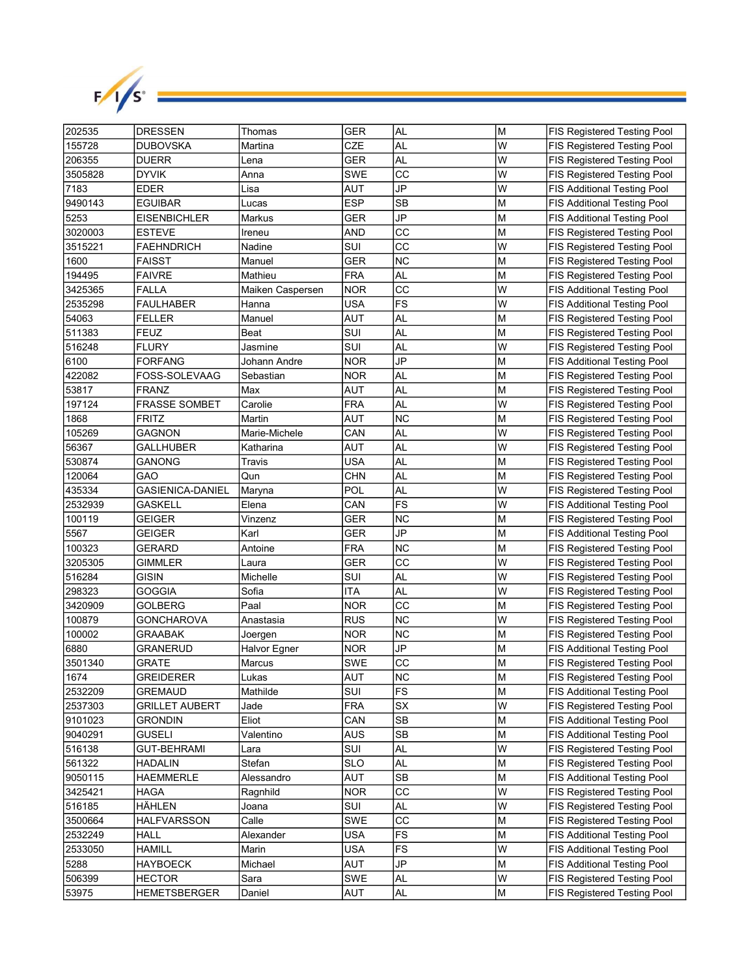

| 202535  | <b>DRESSEN</b>          | Thomas           | <b>GER</b> | <b>AL</b> | M | <b>FIS Registered Testing Pool</b> |
|---------|-------------------------|------------------|------------|-----------|---|------------------------------------|
| 155728  | DUBOVSKA                | Martina          | CZE        | AL        | W | <b>FIS Registered Testing Pool</b> |
| 206355  | <b>DUERR</b>            | Lena             | <b>GER</b> | AL        | W | FIS Registered Testing Pool        |
| 3505828 | DYVIK                   | Anna             | <b>SWE</b> | CC        | W | FIS Registered Testing Pool        |
| 7183    | EDER                    | Lisa             | AUT        | JP        | W | <b>FIS Additional Testing Pool</b> |
| 9490143 | <b>EGUIBAR</b>          | Lucas            | <b>ESP</b> | <b>SB</b> | M | <b>FIS Additional Testing Pool</b> |
| 5253    | <b>EISENBICHLER</b>     | Markus           | GER        | JP        | M | <b>FIS Additional Testing Pool</b> |
| 3020003 | <b>ESTEVE</b>           | Ireneu           | AND        | CC        | M | FIS Registered Testing Pool        |
| 3515221 | <b>FAEHNDRICH</b>       | Nadine           | SUI        | CC        | W | FIS Registered Testing Pool        |
| 1600    | <b>FAISST</b>           | Manuel           | GER        | <b>NC</b> | M | FIS Registered Testing Pool        |
| 194495  | <b>FAIVRE</b>           | Mathieu          | FRA        | AL        | М | FIS Registered Testing Pool        |
| 3425365 | FALLA                   | Maiken Caspersen | <b>NOR</b> | CС        | W | <b>FIS Additional Testing Pool</b> |
| 2535298 | <b>FAULHABER</b>        | Hanna            | USA        | <b>FS</b> | W | <b>FIS Additional Testing Pool</b> |
| 54063   | <b>FELLER</b>           | Manuel           | AUT        | AL        | М | FIS Registered Testing Pool        |
| 511383  | FEUZ                    | Beat             | SUI        | AL        | M | <b>FIS Registered Testing Pool</b> |
| 516248  | <b>FLURY</b>            | Jasmine          | SUI        | AL        | W | <b>FIS Registered Testing Pool</b> |
| 6100    | <b>FORFANG</b>          | Johann Andre     | NOR.       | JP        | M | <b>FIS Additional Testing Pool</b> |
| 422082  | FOSS-SOLEVAAG           | Sebastian        | <b>NOR</b> | <b>AL</b> | M | FIS Registered Testing Pool        |
| 53817   | FRANZ                   | Max              | AUT        | AL        | M | FIS Registered Testing Pool        |
| 197124  | <b>FRASSE SOMBET</b>    | Carolie          | FRA        | AL        | W | FIS Registered Testing Pool        |
| 1868    | <b>FRITZ</b>            | Martin           | AUT        | <b>NC</b> | M | FIS Registered Testing Pool        |
| 105269  | GAGNON                  | Marie-Michele    | CAN        | AL        | W | FIS Registered Testing Pool        |
| 56367   | GALLHUBER               | Katharina        | AUT        | AL        | W | FIS Registered Testing Pool        |
| 530874  | GANONG                  | Travis           | USA        | AL        | M | FIS Registered Testing Pool        |
| 120064  | GAO                     | Qun              | CHN        | AL        | M | FIS Registered Testing Pool        |
| 435334  | <b>GASIENICA-DANIEL</b> | Maryna           | POL        | <b>AL</b> | W | FIS Registered Testing Pool        |
| 2532939 | GASKELL                 | Elena            | CAN        | FS        | W | <b>FIS Additional Testing Pool</b> |
| 100119  | GEIGER                  | Vinzenz          | GER        | ΝC        | М | FIS Registered Testing Pool        |
| 5567    | GEIGER                  | Karl             | GER        | JP        | М | <b>FIS Additional Testing Pool</b> |
| 100323  | GERARD                  | Antoine          | FRA        | ΝC        | М | FIS Registered Testing Pool        |
| 3205305 | GIMMLER                 | Laura            | GER        | CC        | W | FIS Registered Testing Pool        |
| 516284  | GISIN                   | Michelle         | SUI        | <b>AL</b> | W | FIS Registered Testing Pool        |
| 298323  | GOGGIA                  | Sofia            | <b>ITA</b> | AL        | W | FIS Registered Testing Pool        |
| 3420909 | GOLBERG                 | Paal             | NOR        | CC        | M | FIS Registered Testing Pool        |
| 100879  | GONCHAROVA              | Anastasia        | <b>RUS</b> | <b>NC</b> | W | FIS Registered Testing Pool        |
| 100002  | GRAABAK                 | Joergen          | <b>NOR</b> | <b>NC</b> | M | FIS Registered Testing Pool        |
| 6880    | GRANERUD                | Halvor Egner     | <b>NOR</b> | <b>JP</b> | M | <b>FIS Additional Testing Pool</b> |
| 3501340 | GRATE                   | Marcus           | SWE        | CC        | M | <b>FIS Registered Testing Pool</b> |
| 1674    | <b>GREIDERER</b>        | Lukas            | AUT        | NC        | M | FIS Registered Testing Pool        |
| 2532209 | GREMAUD                 | Mathilde         | SUI        | <b>FS</b> | M | <b>FIS Additional Testing Pool</b> |
| 2537303 | GRILLET AUBERT          | Jade             | <b>FRA</b> | SX        | W | FIS Registered Testing Pool        |
| 9101023 | Grondin                 | Eliot            | CAN        | SB        | M | <b>FIS Additional Testing Pool</b> |
| 9040291 | GUSELI                  | Valentino        | AUS        | <b>SB</b> | M | FIS Additional Testing Pool        |
| 516138  | <b>GUT-BEHRAMI</b>      | Lara             | SUI        | AL        | W | FIS Registered Testing Pool        |
| 561322  | <b>HADALIN</b>          | Stefan           | <b>SLO</b> | AL        | M | FIS Registered Testing Pool        |
| 9050115 | <b>HAEMMERLE</b>        | Alessandro       | AUT        | SB        | M | FIS Additional Testing Pool        |
| 3425421 | HAGA                    | Ragnhild         | <b>NOR</b> | CC        | W | FIS Registered Testing Pool        |
| 516185  | HÄHLEN                  | Joana            | SUI        | AL        | W | FIS Registered Testing Pool        |
| 3500664 | HALFVARSSON             | Calle            | SWE        | CC        | M | FIS Registered Testing Pool        |
| 2532249 | HALL                    | Alexander        | <b>USA</b> | FS        | M | <b>FIS Additional Testing Pool</b> |
| 2533050 | HAMILL                  | Marin            | <b>USA</b> | FS        | W | FIS Additional Testing Pool        |
| 5288    | HAYBOECK                | Michael          | AUT        | JP        | М | FIS Additional Testing Pool        |
| 506399  | <b>HECTOR</b>           | Sara             | SWE        | AL        | W | FIS Registered Testing Pool        |
| 53975   | <b>HEMETSBERGER</b>     | Daniel           | AUT        | AL        | M | <b>FIS Registered Testing Pool</b> |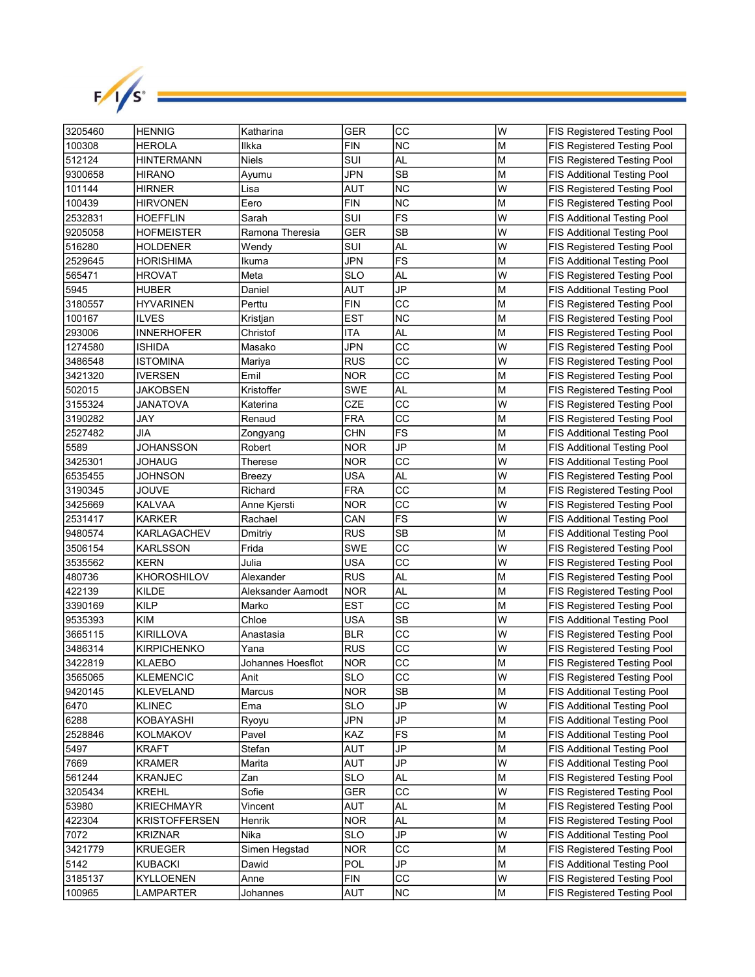

| 3205460 | <b>HENNIG</b>        | Katharina         | <b>GER</b> | CC              | lw | <b>FIS Registered Testing Pool</b> |
|---------|----------------------|-------------------|------------|-----------------|----|------------------------------------|
| 100308  | <b>HEROLA</b>        | llkka             | FIN        | <b>NC</b>       | M  | <b>FIS Registered Testing Pool</b> |
| 512124  | HINTERMANN           | <b>Niels</b>      | SUI        | AL              | M  | FIS Registered Testing Pool        |
| 9300658 | <b>HIRANO</b>        | Ayumu             | JPN        | <b>SB</b>       | M  | <b>FIS Additional Testing Pool</b> |
| 101144  | HIRNER               | Lisa              | AUT        | <b>NC</b>       | W  | FIS Registered Testing Pool        |
| 100439  | <b>HIRVONEN</b>      | Eero              | FIN        | <b>NC</b>       | M  | FIS Registered Testing Pool        |
| 2532831 | <b>HOEFFLIN</b>      | Sarah             | SUI        | FS              | W  | <b>FIS Additional Testing Pool</b> |
| 9205058 | <b>HOFMEISTER</b>    | Ramona Theresia   | GER        | <b>SB</b>       | W  | <b>FIS Additional Testing Pool</b> |
| 516280  | <b>HOLDENER</b>      | Wendy             | SUI        | AL              | W  | FIS Registered Testing Pool        |
| 2529645 | <b>HORISHIMA</b>     | Ikuma             | JPN        | FS              | M  | <b>FIS Additional Testing Pool</b> |
| 565471  | <b>HROVAT</b>        | Meta              | SLO        | AL              | W  | FIS Registered Testing Pool        |
| 5945    | <b>HUBER</b>         | Daniel            | AUT        | JP              | M  | <b>FIS Additional Testing Pool</b> |
| 3180557 | <b>HYVARINEN</b>     | Perttu            | FIN        | CС              | M  | FIS Registered Testing Pool        |
| 100167  | <b>ILVES</b>         | Kristjan          | EST        | <b>NC</b>       | M  | FIS Registered Testing Pool        |
| 293006  | <b>INNERHOFER</b>    | Christof          | ITA        | AL              | ΙM | FIS Registered Testing Pool        |
| 1274580 | ISHIDA               | Masako            | JPN        | CС              | W  | <b>FIS Registered Testing Pool</b> |
| 3486548 | ISTOMINA             | Mariya            | <b>RUS</b> | CC              | W  | FIS Registered Testing Pool        |
| 3421320 | <b>IVERSEN</b>       | Emil              | <b>NOR</b> | CC              | M  | FIS Registered Testing Pool        |
| 502015  | JAKOBSEN             | Kristoffer        | <b>SWE</b> | AL              | M  | FIS Registered Testing Pool        |
| 3155324 | JANATOVA             | Katerina          | <b>CZE</b> | CC              | W  | FIS Registered Testing Pool        |
| 3190282 | JAY                  | Renaud            | <b>FRA</b> | CC              | M  | FIS Registered Testing Pool        |
| 2527482 | JIA                  | Zongyang          | CHN        | <b>FS</b>       | M  | <b>FIS Additional Testing Pool</b> |
| 5589    | JOHANSSON            | Robert            | NOR        | JP              | M  | <b>FIS Additional Testing Pool</b> |
| 3425301 | JOHAUG               | Therese           | NOR.       | CC              | W  | <b>FIS Additional Testing Pool</b> |
| 6535455 | JOHNSON              | Breezy            | USA        | AL              | W  | FIS Registered Testing Pool        |
| 3190345 | <b>JOUVE</b>         | Richard           | <b>FRA</b> | CС              | M  | FIS Registered Testing Pool        |
| 3425669 | <b>KALVAA</b>        | Anne Kjersti      | <b>NOR</b> | CC              | W  | FIS Registered Testing Pool        |
| 2531417 | <b>KARKER</b>        | Rachael           | CAN        | FS              | W  | <b>FIS Additional Testing Pool</b> |
| 9480574 | <b>KARLAGACHEV</b>   | Dmitriy           | <b>RUS</b> | SB              | M  | <b>FIS Additional Testing Pool</b> |
| 3506154 | <b>KARLSSON</b>      | Frida             | SWE        | CC              | W  | FIS Registered Testing Pool        |
| 3535562 | <b>KERN</b>          | Julia             | USA        | CC              | W  | FIS Registered Testing Pool        |
| 480736  | KHOROSHILOV          | Alexander         | <b>RUS</b> | AL              | M  | FIS Registered Testing Pool        |
| 422139  | KILDE                | Aleksander Aamodt | <b>NOR</b> | AL              | M  | <b>FIS Registered Testing Pool</b> |
| 3390169 | <b>KILP</b>          | Marko             | <b>EST</b> | СC              | M  | FIS Registered Testing Pool        |
| 9535393 | <b>KIM</b>           | Chloe             | <b>USA</b> | <b>SB</b>       | W  | <b>FIS Additional Testing Pool</b> |
| 3665115 | <b>KIRILLOVA</b>     | Anastasia         | <b>BLR</b> | CC              | W  | FIS Registered Testing Pool        |
| 3486314 | <b>KIRPICHENKO</b>   | Yana              | <b>RUS</b> | cc              | W  | FIS Registered Testing Pool        |
| 3422819 | <b>KLAEBO</b>        | Johannes Hoesflot | <b>NOR</b> | CC              | M  | FIS Registered Testing Pool        |
| 3565065 | KLEMENCIC            | Anit              | <b>SLO</b> | $\overline{cc}$ | W  | FIS Registered Testing Pool        |
| 9420145 | <b>KLEVELAND</b>     | Marcus            | <b>NOR</b> | SB              | lм | <b>FIS Additional Testing Pool</b> |
| 6470    | <b>KLINEC</b>        | Ema               | <b>SLO</b> | JP              | W  | <b>FIS Additional Testing Pool</b> |
| 6288    | KOBAYASHI            | Ryoyu             | JPN        | JP              | M  | <b>FIS Additional Testing Pool</b> |
| 2528846 | <b>KOLMAKOV</b>      | Pavel             | KAZ        | FS              | M  | FIS Additional Testing Pool        |
| 5497    | <b>KRAFT</b>         | Stefan            | AUT        | JP              | M  | FIS Additional Testing Pool        |
| 7669    | <b>KRAMER</b>        | Marita            | AUT        | JP              | W  | FIS Additional Testing Pool        |
| 561244  | <b>KRANJEC</b>       | Zan               | <b>SLO</b> | <b>AL</b>       | M  | FIS Registered Testing Pool        |
| 3205434 | <b>KREHL</b>         | Sofie             | GER        | СC              | W  | FIS Registered Testing Pool        |
| 53980   | <b>KRIECHMAYR</b>    | Vincent           | AUT        | AL              | M  | FIS Registered Testing Pool        |
| 422304  | <b>KRISTOFFERSEN</b> | Henrik            | <b>NOR</b> | AL              | M  | FIS Registered Testing Pool        |
| 7072    | <b>KRIZNAR</b>       | Nika              | <b>SLO</b> | JP              | W  | <b>FIS Additional Testing Pool</b> |
| 3421779 | <b>KRUEGER</b>       | Simen Hegstad     | <b>NOR</b> | СC              | M  | FIS Registered Testing Pool        |
| 5142    | <b>KUBACKI</b>       | Dawid             | POL        | JP              | M  | FIS Additional Testing Pool        |
| 3185137 | KYLLOENEN            | Anne              | <b>FIN</b> | СC              | W  | FIS Registered Testing Pool        |
| 100965  | LAMPARTER            | Johannes          | AUT        | NC              | M  | FIS Registered Testing Pool        |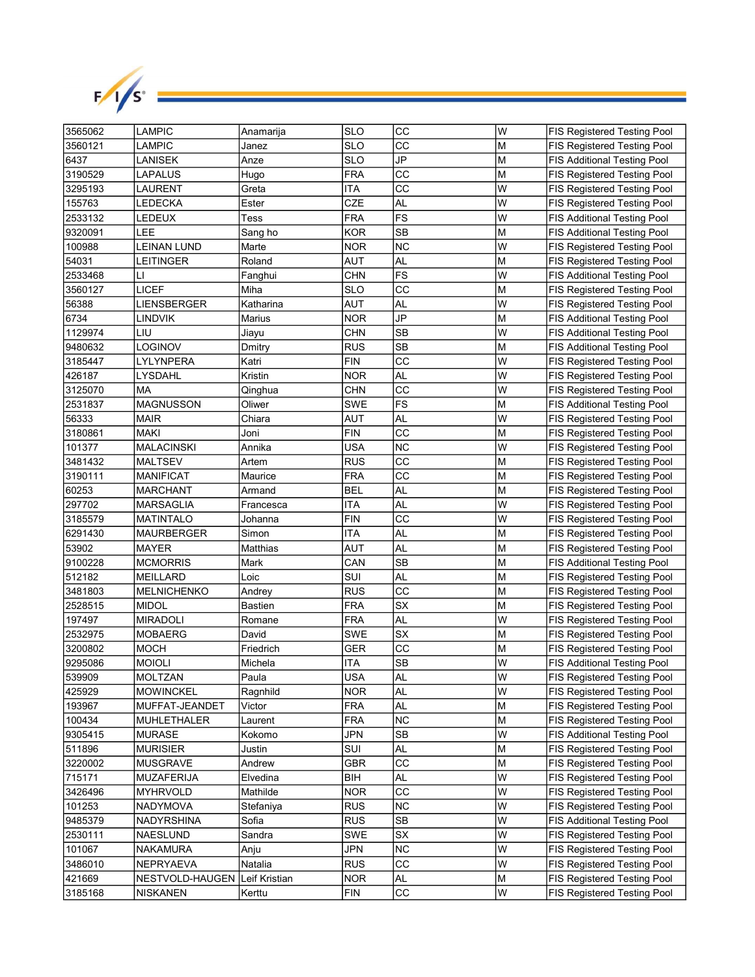

| 3565062 | LAMPIC                          | Anamarija | <b>SLO</b> | CC        | W | <b>FIS Registered Testing Pool</b> |
|---------|---------------------------------|-----------|------------|-----------|---|------------------------------------|
| 3560121 | LAMPIC                          | Janez     | SLO        | СC        | M | <b>FIS Registered Testing Pool</b> |
| 6437    | LANISEK                         | Anze      | <b>SLO</b> | <b>JP</b> | M | <b>FIS Additional Testing Pool</b> |
| 3190529 | LAPALUS                         | Hugo      | FRA        | CC        | M | FIS Registered Testing Pool        |
| 3295193 | LAURENT                         | Greta     | ITA        | cc        | W | FIS Registered Testing Pool        |
| 155763  | LEDECKA                         | Ester     | CZE        | AL        | W | FIS Registered Testing Pool        |
| 2533132 | LEDEUX                          | Tess      | FRA        | FS        | W | <b>FIS Additional Testing Pool</b> |
| 9320091 | LEE                             | Sang ho   | <b>KOR</b> | <b>SB</b> | M | <b>FIS Additional Testing Pool</b> |
| 100988  | <b>LEINAN LUND</b>              | Marte     | <b>NOR</b> | <b>NC</b> | W | FIS Registered Testing Pool        |
| 54031   | LEITINGER                       | Roland    | AUT        | AL        | М | FIS Registered Testing Pool        |
| 2533468 | LI                              | Fanghui   | CHN        | FS        | W | <b>FIS Additional Testing Pool</b> |
| 3560127 | LICEF                           | Miha      | SLO        | CС        | М | FIS Registered Testing Pool        |
| 56388   | LIENSBERGER                     | Katharina | AUT        | AL        | W | FIS Registered Testing Pool        |
| 6734    | LINDVIK                         | Marius    | NOR        | JP        | M | <b>FIS Additional Testing Pool</b> |
| 1129974 | LIU                             | Jiayu     | CHN        | SB        | W | <b>FIS Additional Testing Pool</b> |
| 9480632 | LOGINOV                         | Dmitry    | <b>RUS</b> | SB        | M | FIS Additional Testing Pool        |
| 3185447 | LYLYNPERA                       | Katri     | FIN        | CC        | W | FIS Registered Testing Pool        |
| 426187  | LYSDAHL                         | Kristin   | <b>NOR</b> | AL        | W | FIS Registered Testing Pool        |
| 3125070 | МA                              | Qinghua   | <b>CHN</b> | CC        | W | FIS Registered Testing Pool        |
| 2531837 | <b>MAGNUSSON</b>                | Oliwer    | SWE        | <b>FS</b> | M | <b>FIS Additional Testing Pool</b> |
| 56333   | <b>MAIR</b>                     | Chiara    | AUT        | AL        | W | FIS Registered Testing Pool        |
| 3180861 | <b>MAKI</b>                     | Joni      | FIN        | СC        | M | FIS Registered Testing Pool        |
| 101377  | MALACINSKI                      | Annika    | USA        | <b>NC</b> | W | FIS Registered Testing Pool        |
| 3481432 | <b>MALTSEV</b>                  | Artem     | <b>RUS</b> | CC        | M | FIS Registered Testing Pool        |
| 3190111 | <b>MANIFICAT</b>                | Maurice   | FRA        | CC        | М | <b>FIS Registered Testing Pool</b> |
| 60253   | <b>MARCHANT</b>                 | Armand    | BEL        | AL        | M | FIS Registered Testing Pool        |
| 297702  | <b>MARSAGLIA</b>                | Francesca | ITA        | AL        | W | FIS Registered Testing Pool        |
| 3185579 | <b>MATINTALO</b>                | Johanna   | FIN        | CC        | W | FIS Registered Testing Pool        |
| 6291430 | MAURBERGER                      | Simon     | ITA        | AL        | М | FIS Registered Testing Pool        |
| 53902   | MAYER                           | Matthias  | AUT        | AL        | M | FIS Registered Testing Pool        |
| 9100228 | <b>MCMORRIS</b>                 | Mark      | CAN        | SB        | М | <b>FIS Additional Testing Pool</b> |
| 512182  | MEILLARD                        | Loic      | SUI        | AL        | M | <b>FIS Registered Testing Pool</b> |
| 3481803 | MELNICHENKO                     | Andrey    | <b>RUS</b> | CC        | M | FIS Registered Testing Pool        |
| 2528515 | <b>MIDOL</b>                    | Bastien   | <b>FRA</b> | <b>SX</b> | M | FIS Registered Testing Pool        |
| 197497  | <b>MIRADOLI</b>                 | Romane    | <b>FRA</b> | AL        | W | FIS Registered Testing Pool        |
| 2532975 | MOBAERG                         | David     | <b>SWE</b> | <b>SX</b> | M | FIS Registered Testing Pool        |
| 3200802 | <b>MOCH</b>                     | Friedrich | <b>GER</b> | CC        | M | FIS Registered Testing Pool        |
| 9295086 | <b>MOIOLI</b>                   | Michela   | ITA        | <b>SB</b> | W | <b>FIS Additional Testing Pool</b> |
| 539909  | MOLTZAN                         | Paula     | <b>USA</b> | <b>AL</b> | W | FIS Registered Testing Pool        |
| 425929  | <b>MOWINCKEL</b>                | Ragnhild  | <b>NOR</b> | AL        | W | FIS Registered Testing Pool        |
| 193967  | MUFFAT-JEANDET                  | Victor    | <b>FRA</b> | AL        | М | FIS Registered Testing Pool        |
| 100434  | <b>MUHLETHALER</b>              | Laurent   | <b>FRA</b> | <b>NC</b> | M | FIS Registered Testing Pool        |
| 9305415 | <b>MURASE</b>                   | Kokomo    | JPN        | SB        | W | FIS Additional Testing Pool        |
| 511896  | <b>MURISIER</b>                 | Justin    | SUI        | AL        | M | FIS Registered Testing Pool        |
| 3220002 | <b>MUSGRAVE</b>                 | Andrew    | <b>GBR</b> | CC        | M | FIS Registered Testing Pool        |
| 715171  | <b>MUZAFERIJA</b>               | Elvedina  | BIH        | AL        | W | FIS Registered Testing Pool        |
| 3426496 | <b>MYHRVOLD</b>                 | Mathilde  | <b>NOR</b> | CС        | W | FIS Registered Testing Pool        |
| 101253  | NADYMOVA                        | Stefaniya | <b>RUS</b> | <b>NC</b> | W | FIS Registered Testing Pool        |
| 9485379 | NADYRSHINA                      | Sofia     | <b>RUS</b> | SB        | W | <b>FIS Additional Testing Pool</b> |
| 2530111 | NAESLUND                        | Sandra    | SWE        | SX        | W | FIS Registered Testing Pool        |
| 101067  | <b>NAKAMURA</b>                 | Anju      | JPN        | <b>NC</b> | W | FIS Registered Testing Pool        |
| 3486010 | NEPRYAEVA                       | Natalia   | <b>RUS</b> | CC        | W | FIS Registered Testing Pool        |
| 421669  | NESTVOLD-HAUGEN   Leif Kristian |           | <b>NOR</b> | AL        | M | FIS Registered Testing Pool        |
| 3185168 | <b>NISKANEN</b>                 | Kerttu    | <b>FIN</b> | CC        | W | FIS Registered Testing Pool        |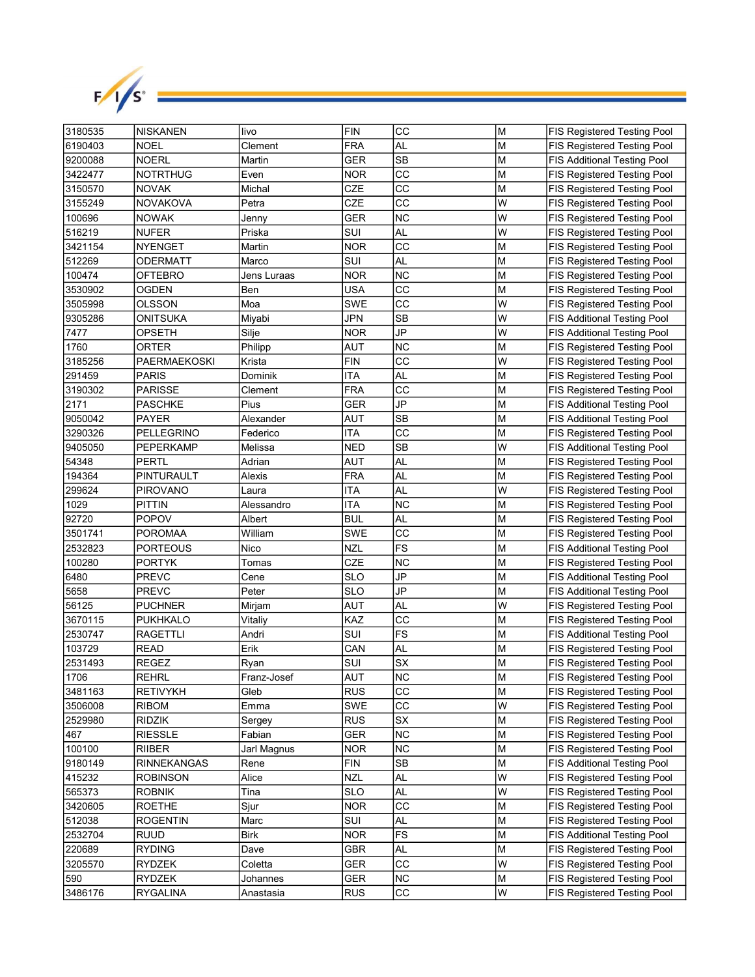

| 3180535 | <b>NISKANEN</b>   | livo        | <b>FIN</b> | CC        | M  | <b>FIS Registered Testing Pool</b> |
|---------|-------------------|-------------|------------|-----------|----|------------------------------------|
| 6190403 | NOEL              | Clement     | <b>FRA</b> | <b>AL</b> | M  | <b>FIS Registered Testing Pool</b> |
| 9200088 | <b>NOERL</b>      | Martin      | GER        | <b>SB</b> | M  | <b>FIS Additional Testing Pool</b> |
| 3422477 | <b>NOTRTHUG</b>   | Even        | NOR        | CC        | M  | FIS Registered Testing Pool        |
| 3150570 | <b>NOVAK</b>      | Michal      | <b>CZE</b> | cc        | M  | FIS Registered Testing Pool        |
| 3155249 | <b>NOVAKOVA</b>   | Petra       | CZE        | CC        | W  | FIS Registered Testing Pool        |
| 100696  | <b>NOWAK</b>      | Jenny       | GER        | <b>NC</b> | W  | FIS Registered Testing Pool        |
| 516219  | <b>NUFER</b>      | Priska      | SUI        | AL        | W  | FIS Registered Testing Pool        |
| 3421154 | <b>NYENGET</b>    | Martin      | NOR        | CC        | M  | FIS Registered Testing Pool        |
| 512269  | ODERMATT          | Marco       | SUI        | AL        | M  | FIS Registered Testing Pool        |
| 100474  | OFTEBRO           | Jens Luraas | NOR        | <b>NC</b> | М  | FIS Registered Testing Pool        |
| 3530902 | OGDEN             | Ben         | USA        | CС        | М  | FIS Registered Testing Pool        |
| 3505998 | OLSSON            | Moa         | SWE        | CC        | W  | FIS Registered Testing Pool        |
| 9305286 | ONITSUKA          | Miyabi      | JPN        | SB        | W  | <b>FIS Additional Testing Pool</b> |
| 7477    | OPSETH            | Silje       | NOR        | JP        | W  | <b>FIS Additional Testing Pool</b> |
| 1760    | ORTER             | Philipp     | AUT        | ΝC        | M  | FIS Registered Testing Pool        |
| 3185256 | PAERMAEKOSKI      | Krista      | FIN        | CC        | W  | FIS Registered Testing Pool        |
| 291459  | PARIS             | Dominik     | ITA        | AL        | M  | FIS Registered Testing Pool        |
| 3190302 | <b>PARISSE</b>    | Clement     | <b>FRA</b> | CC        | M  | FIS Registered Testing Pool        |
| 2171    | <b>PASCHKE</b>    | Pius        | GER        | JP        | M  | <b>FIS Additional Testing Pool</b> |
| 9050042 | <b>PAYER</b>      | Alexander   | AUT        | <b>SB</b> | M  | <b>FIS Additional Testing Pool</b> |
| 3290326 | <b>PELLEGRINO</b> | Federico    | ITA        | CC        | M  | FIS Registered Testing Pool        |
| 9405050 | PEPERKAMP         | Melissa     | NED        | <b>SB</b> | W  | <b>FIS Additional Testing Pool</b> |
| 54348   | PERTL             | Adrian      | AUT        | AL        | M  | FIS Registered Testing Pool        |
| 194364  | PINTURAULT        | Alexis      | FRA        | AL        | M  | FIS Registered Testing Pool        |
| 299624  | <b>PIROVANO</b>   | Laura       | ITA        | AL        | W  | FIS Registered Testing Pool        |
| 1029    | <b>PITTIN</b>     | Alessandro  | ITA        | ΝC        | М  | FIS Registered Testing Pool        |
| 92720   | <b>POPOV</b>      | Albert      | BUL        | AL        | М  | FIS Registered Testing Pool        |
| 3501741 | <b>POROMAA</b>    | William     | SWE        | CС        | М  | FIS Registered Testing Pool        |
| 2532823 | PORTEOUS          | Nico        | <b>NZL</b> | <b>FS</b> | M  | <b>FIS Additional Testing Pool</b> |
| 100280  | <b>PORTYK</b>     | Tomas       | CZE        | ΝC        | М  | FIS Registered Testing Pool        |
| 6480    | <b>PREVC</b>      | Cene        | SLO        | JP        | M  | <b>FIS Additional Testing Pool</b> |
| 5658    | <b>PREVC</b>      | Peter       | <b>SLO</b> | JP        | M  | <b>FIS Additional Testing Pool</b> |
| 56125   | <b>PUCHNER</b>    | Mirjam      | AUT        | <b>AL</b> | W  | FIS Registered Testing Pool        |
| 3670115 | <b>PUKHKALO</b>   | Vitaliy     | KAZ        | CC        | M  | FIS Registered Testing Pool        |
| 2530747 | RAGETTLI          | Andri       | SUI        | <b>FS</b> | M  | <b>FIS Additional Testing Pool</b> |
| 103729  | <b>READ</b>       | Erik        | CAN        | AL        | M  | FIS Registered Testing Pool        |
| 2531493 | <b>REGEZ</b>      | Ryan        | SUI        | <b>SX</b> | M  | FIS Registered Testing Pool        |
| 1706    | <b>REHRL</b>      | Franz-Josef | AUT        | <b>NC</b> | İМ | FIS Registered Testing Pool        |
| 3481163 | <b>RETIVYKH</b>   | Gleb        | <b>RUS</b> | CC        | M  | FIS Registered Testing Pool        |
| 3506008 | <b>RIBOM</b>      | Emma        | SWE        | CC        | W  | FIS Registered Testing Pool        |
| 2529980 | RIDZIK            | Sergey      | <b>RUS</b> | SX        | M  | FIS Registered Testing Pool        |
| 467     | <b>RIESSLE</b>    | Fabian      | <b>GER</b> | ΝC        | М  | FIS Registered Testing Pool        |
| 100100  | <b>RIIBER</b>     | Jarl Magnus | <b>NOR</b> | <b>NC</b> | М  | FIS Registered Testing Pool        |
| 9180149 | RINNEKANGAS       | Rene        | <b>FIN</b> | SB        | M  | FIS Additional Testing Pool        |
| 415232  | <b>ROBINSON</b>   | Alice       | <b>NZL</b> | AL        | W  | FIS Registered Testing Pool        |
| 565373  | <b>ROBNIK</b>     | Tina        | <b>SLO</b> | AL        | W  | FIS Registered Testing Pool        |
| 3420605 | ROETHE            | Sjur        | <b>NOR</b> | CC        | M  | FIS Registered Testing Pool        |
| 512038  | <b>ROGENTIN</b>   | Marc        | SUI        | AL        | M  | FIS Registered Testing Pool        |
| 2532704 | RUUD              | <b>Birk</b> | <b>NOR</b> | FS        | М  | <b>FIS Additional Testing Pool</b> |
| 220689  | <b>RYDING</b>     | Dave        | <b>GBR</b> | AL        | M  | FIS Registered Testing Pool        |
| 3205570 | RYDZEK            | Coletta     | GER        | CC        | W  | FIS Registered Testing Pool        |
| 590     | <b>RYDZEK</b>     | Johannes    | GER        | <b>NC</b> | M  | FIS Registered Testing Pool        |
| 3486176 | RYGALINA          | Anastasia   | <b>RUS</b> | CC        | W  | <b>FIS Registered Testing Pool</b> |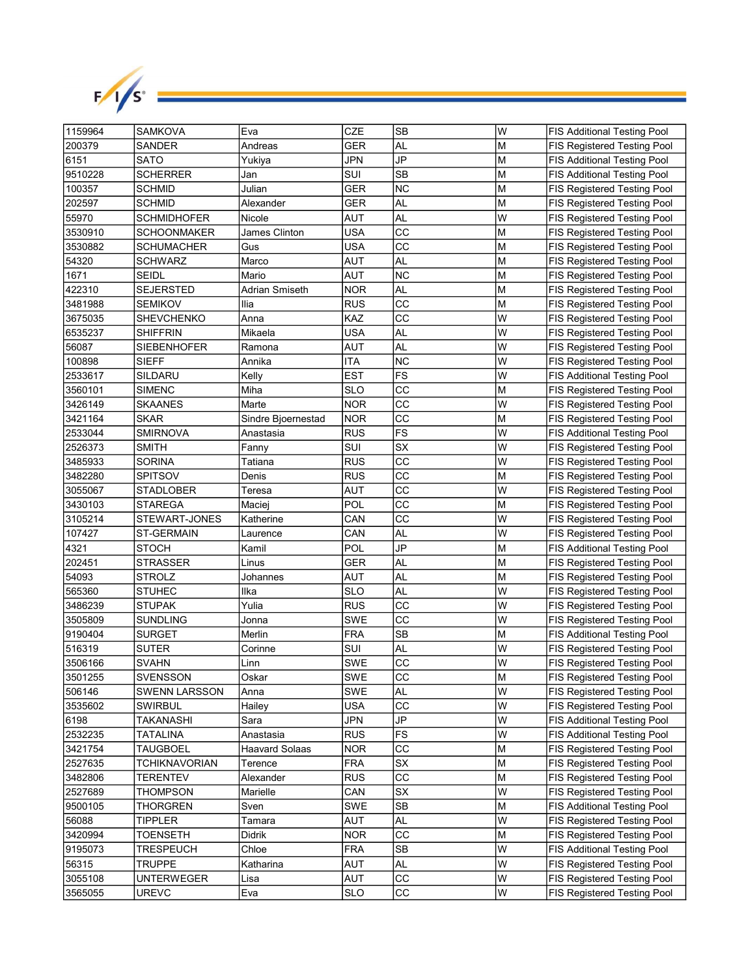

| 1159964 | SAMKOVA              | Eva                   | CZE        | <b>SB</b>       | lw | <b>FIS Additional Testing Pool</b> |
|---------|----------------------|-----------------------|------------|-----------------|----|------------------------------------|
| 200379  | <b>SANDER</b>        | Andreas               | GER        | AL              | M  | <b>FIS Registered Testing Pool</b> |
| 6151    | <b>SATO</b>          | Yukiya                | JPN        | JP              | M  | <b>FIS Additional Testing Pool</b> |
| 9510228 | <b>SCHERRER</b>      | Jan                   | SUI        | <b>SB</b>       | M  | <b>FIS Additional Testing Pool</b> |
| 100357  | <b>SCHMID</b>        | Julian                | GER        | <b>NC</b>       | M  | FIS Registered Testing Pool        |
| 202597  | <b>SCHMID</b>        | Alexander             | GER        | AL              | M  | FIS Registered Testing Pool        |
| 55970   | <b>SCHMIDHOFER</b>   | Nicole                | AUT        | AL              | W  | FIS Registered Testing Pool        |
| 3530910 | <b>SCHOONMAKER</b>   | James Clinton         | USA        | CC              | lм | FIS Registered Testing Pool        |
| 3530882 | <b>SCHUMACHER</b>    | Gus                   | <b>USA</b> | CC              | M  | FIS Registered Testing Pool        |
| 54320   | <b>SCHWARZ</b>       | Marco                 | AUT        | AL              | M  | FIS Registered Testing Pool        |
| 1671    | <b>SEIDL</b>         | Mario                 | AUT        | ΝC              | M  | FIS Registered Testing Pool        |
| 422310  | <b>SEJERSTED</b>     | Adrian Smiseth        | <b>NOR</b> | AL              | M  | FIS Registered Testing Pool        |
| 3481988 | <b>SEMIKOV</b>       | Ilia                  | <b>RUS</b> | CС              | M  | FIS Registered Testing Pool        |
| 3675035 | <b>SHEVCHENKO</b>    | Anna                  | KAZ        | CC              | W  | FIS Registered Testing Pool        |
| 6535237 | <b>SHIFFRIN</b>      | Mikaela               | USA        | AL              | W  | <b>FIS Registered Testing Pool</b> |
| 56087   | <b>SIEBENHOFER</b>   | Ramona                | AUT        | AL              | W  | <b>FIS Registered Testing Pool</b> |
| 100898  | SIEFF                | Annika                | <b>ITA</b> | <b>NC</b>       | W  | FIS Registered Testing Pool        |
| 2533617 | SILDARU              | Kelly                 | <b>EST</b> | FS              | W  | <b>FIS Additional Testing Pool</b> |
| 3560101 | <b>SIMENC</b>        | Miha                  | SLO        | CС              | M  | FIS Registered Testing Pool        |
| 3426149 | <b>SKAANES</b>       | Marte                 | <b>NOR</b> | CC              | W  | FIS Registered Testing Pool        |
| 3421164 | SKAR                 | Sindre Bjoernestad    | <b>NOR</b> | CC              | M  | FIS Registered Testing Pool        |
| 2533044 | <b>SMIRNOVA</b>      | Anastasia             | RUS        | <b>FS</b>       | W  | <b>FIS Additional Testing Pool</b> |
| 2526373 | <b>SMITH</b>         | Fanny                 | SUI        | SX              | W  | FIS Registered Testing Pool        |
| 3485933 | <b>SORINA</b>        | Tatiana               | RUS        | CC              | W  | FIS Registered Testing Pool        |
| 3482280 | <b>SPITSOV</b>       | Denis                 | <b>RUS</b> | CC              | M  | FIS Registered Testing Pool        |
| 3055067 | <b>STADLOBER</b>     | Teresa                | AUT        | CC              | W  | FIS Registered Testing Pool        |
| 3430103 | <b>STAREGA</b>       | Maciej                | POL        | CC              | M  | FIS Registered Testing Pool        |
| 3105214 | STEWART-JONES        | Katherine             | CAN        | CС              | W  | FIS Registered Testing Pool        |
| 107427  | <b>ST-GERMAIN</b>    | Laurence              | CAN        | AL              | W  | FIS Registered Testing Pool        |
| 4321    | <b>STOCH</b>         | Kamil                 | POL        | JP              | M  | <b>FIS Additional Testing Pool</b> |
| 202451  | <b>STRASSER</b>      | Linus                 | GER        | AL              | M  | FIS Registered Testing Pool        |
| 54093   | STROLZ               | Johannes              | AUT        | AL              | M  | FIS Registered Testing Pool        |
| 565360  | STUHEC               | Ilka                  | SLO        | AL              | W  | <b>FIS Registered Testing Pool</b> |
| 3486239 | <b>STUPAK</b>        | Yulia                 | <b>RUS</b> | СC              | W  | FIS Registered Testing Pool        |
| 3505809 | <b>SUNDLING</b>      | Jonna                 | SWE        | CC              | W  | FIS Registered Testing Pool        |
| 9190404 | <b>SURGET</b>        | Merlin                | <b>FRA</b> | SB              | M  | <b>FIS Additional Testing Pool</b> |
| 516319  | <b>SUTER</b>         | Corinne               | SUI        | AL              | W  | FIS Registered Testing Pool        |
| 3506166 | SVAHN                | Linn                  | SWE        | CC              | W  | FIS Registered Testing Pool        |
| 3501255 | <b>SVENSSON</b>      | Oskar                 | SWE        | $\overline{cc}$ | M  | FIS Registered Testing Pool        |
| 506146  | <b>SWENN LARSSON</b> | Anna                  | SWE        | AL              | lw | FIS Registered Testing Pool        |
| 3535602 | <b>SWIRBUL</b>       | Hailey                | <b>USA</b> | СC              | lw | FIS Registered Testing Pool        |
| 6198    | TAKANASHI            | Sara                  | JPN        | JP              | W  | <b>FIS Additional Testing Pool</b> |
| 2532235 | <b>TATALINA</b>      | Anastasia             | <b>RUS</b> | <b>FS</b>       | W  | FIS Additional Testing Pool        |
| 3421754 | <b>TAUGBOEL</b>      | <b>Haavard Solaas</b> | <b>NOR</b> | СC              | M  | FIS Registered Testing Pool        |
| 2527635 | <b>TCHIKNAVORIAN</b> | Terence               | <b>FRA</b> | SX              | M  | FIS Registered Testing Pool        |
| 3482806 | <b>TERENTEV</b>      | Alexander             | <b>RUS</b> | CС              | M  | FIS Registered Testing Pool        |
| 2527689 | <b>THOMPSON</b>      | Marielle              | CAN        | SX              | W  | FIS Registered Testing Pool        |
| 9500105 | <b>THORGREN</b>      | Sven                  | SWE        | SB              | M  | FIS Additional Testing Pool        |
| 56088   | TIPPLER              | Tamara                | AUT        | AL              | W  | FIS Registered Testing Pool        |
| 3420994 | <b>TOENSETH</b>      | Didrik                | <b>NOR</b> | CC              | M  | FIS Registered Testing Pool        |
| 9195073 | <b>TRESPEUCH</b>     | Chloe                 | <b>FRA</b> | SB              | W  | FIS Additional Testing Pool        |
| 56315   | <b>TRUPPE</b>        | Katharina             | AUT        | AL              | W  | FIS Registered Testing Pool        |
| 3055108 | <b>UNTERWEGER</b>    | Lisa                  | AUT        | СC              | W  | FIS Registered Testing Pool        |
| 3565055 | <b>UREVC</b>         | Eva                   | <b>SLO</b> | CC              | W  | FIS Registered Testing Pool        |